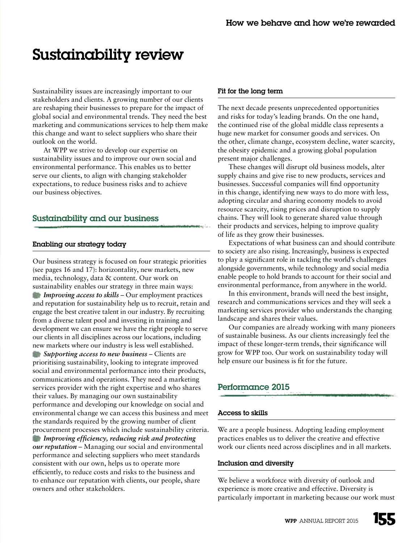# Sustainability review

Sustainability issues are increasingly important to our stakeholders and clients. A growing number of our clients are reshaping their businesses to prepare for the impact of global social and environmental trends. They need the best marketing and communications services to help them make this change and want to select suppliers who share their outlook on the world.

At WPP we strive to develop our expertise on sustainability issues and to improve our own social and environmental performance. This enables us to better serve our clients, to align with changing stakeholder expectations, to reduce business risks and to achieve our business objectives.

# Sustainability and our business

# Enabling our strategy today

Our business strategy is focused on four strategic priorities (see pages 16 and 17): horizontality, new markets, new media, technology, data & content. Our work on sustainability enables our strategy in three main ways: *Improving access to skills* – Our employment practices and reputation for sustainability help us to recruit, retain and engage the best creative talent in our industry. By recruiting from a diverse talent pool and investing in training and development we can ensure we have the right people to serve our clients in all disciplines across our locations, including new markets where our industry is less well established.

*Supporting access to new business* – Clients are prioritising sustainability, looking to integrate improved social and environmental performance into their products, communications and operations. They need a marketing services provider with the right expertise and who shares their values. By managing our own sustainability performance and developing our knowledge on social and environmental change we can access this business and meet the standards required by the growing number of client procurement processes which include sustainability criteria. *Improving efficiency, reducing risk and protecting our reputation* – Managing our social and environmental performance and selecting suppliers who meet standards consistent with our own, helps us to operate more efficiently, to reduce costs and risks to the business and to enhance our reputation with clients, our people, share owners and other stakeholders.

#### Fit for the long term

The next decade presents unprecedented opportunities and risks for today's leading brands. On the one hand, the continued rise of the global middle class represents a huge new market for consumer goods and services. On the other, climate change, ecosystem decline, water scarcity, the obesity epidemic and a growing global population present major challenges.

These changes will disrupt old business models, alter supply chains and give rise to new products, services and businesses. Successful companies will find opportunity in this change, identifying new ways to do more with less, adopting circular and sharing economy models to avoid resource scarcity, rising prices and disruption to supply chains. They will look to generate shared value through their products and services, helping to improve quality of life as they grow their businesses.

Expectations of what business can and should contribute to society are also rising. Increasingly, business is expected to play a significant role in tackling the world's challenges alongside governments, while technology and social media enable people to hold brands to account for their social and environmental performance, from anywhere in the world.

In this environment, brands will need the best insight, research and communications services and they will seek a marketing services provider who understands the changing landscape and shares their values.

Our companies are already working with many pioneers of sustainable business. As our clients increasingly feel the impact of these longer-term trends, their significance will grow for WPP too. Our work on sustainability today will help ensure our business is fit for the future.

# Performance 2015

#### Access to skills

We are a people business. Adopting leading employment practices enables us to deliver the creative and effective work our clients need across disciplines and in all markets.

#### Inclusion and diversity

We believe a workforce with diversity of outlook and experience is more creative and effective. Diversity is particularly important in marketing because our work must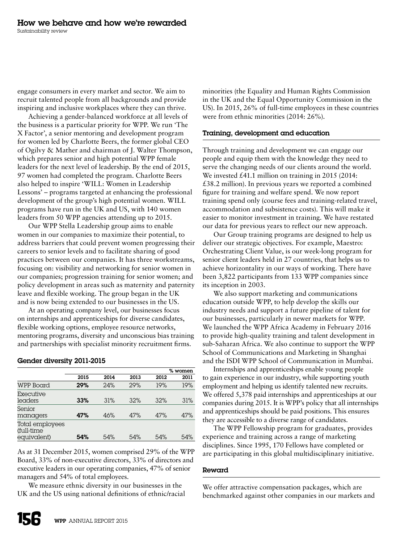engage consumers in every market and sector. We aim to recruit talented people from all backgrounds and provide inspiring and inclusive workplaces where they can thrive.

Achieving a gender-balanced workforce at all levels of the business is a particular priority for WPP. We run 'The X Factor', a senior mentoring and development program for women led by Charlotte Beers, the former global CEO of Ogilvy & Mather and chairman of J. Walter Thompson, which prepares senior and high potential WPP female leaders for the next level of leadership. By the end of 2015, 97 women had completed the program. Charlotte Beers also helped to inspire 'WILL: Women in Leadership Lessons' – programs targeted at enhancing the professional development of the group's high potential women. WILL programs have run in the UK and US, with 140 women leaders from 50 WPP agencies attending up to 2015.

Our WPP Stella Leadership group aims to enable women in our companies to maximize their potential, to address barriers that could prevent women progressing their careers to senior levels and to facilitate sharing of good practices between our companies. It has three workstreams, focusing on: visibility and networking for senior women in our companies; progression training for senior women; and policy development in areas such as maternity and paternity leave and flexible working. The group began in the UK and is now being extended to our businesses in the US.

At an operating company level, our businesses focus on internships and apprenticeships for diverse candidates, flexible working options, employee resource networks, mentoring programs, diversity and unconscious bias training and partnerships with specialist minority recruitment firms.

|                                              |      |      |      | % women |      |  |
|----------------------------------------------|------|------|------|---------|------|--|
|                                              | 2015 | 2014 | 2013 | 2012    | 2011 |  |
| <b>WPP Board</b>                             | 29%  | 24%  | 29%  | 19%     | 19%  |  |
| Executive<br>leaders                         | 33%  | 31%  | 32%  | 32%     | 31%  |  |
| Senior<br>managers                           | 47%  | 46%  | 47%  | 47%     | 47%  |  |
| Total employees<br>(full-time<br>equivalent) | 54%  | 54%  | 54%  | 54%     | 54%  |  |

#### Gender diversity 2011-2015

As at 31 December 2015, women comprised 29% of the WPP Board, 33% of non-executive directors, 33% of directors and executive leaders in our operating companies, 47% of senior managers and 54% of total employees.

We measure ethnic diversity in our businesses in the UK and the US using national definitions of ethnic/racial minorities (the Equality and Human Rights Commission in the UK and the Equal Opportunity Commission in the US). In 2015, 26% of full-time employees in these countries were from ethnic minorities (2014: 26%).

#### Training, development and education

Through training and development we can engage our people and equip them with the knowledge they need to serve the changing needs of our clients around the world. We invested £41.1 million on training in 2015 (2014: £38.2 million). In previous years we reported a combined figure for training and welfare spend. We now report training spend only (course fees and training-related travel, accommodation and subsistence costs). This will make it easier to monitor investment in training. We have restated our data for previous years to reflect our new approach.

Our Group training programs are designed to help us deliver our strategic objectives. For example, Maestro: Orchestrating Client Value, is our week-long program for senior client leaders held in 27 countries, that helps us to achieve horizontality in our ways of working. There have been 3,822 participants from 133 WPP companies since its inception in 2003.

We also support marketing and communications education outside WPP, to help develop the skills our industry needs and support a future pipeline of talent for our businesses, particularly in newer markets for WPP. We launched the WPP Africa Academy in February 2016 to provide high-quality training and talent development in sub-Saharan Africa. We also continue to support the WPP School of Communications and Marketing in Shanghai and the ISDI WPP School of Communication in Mumbai.

Internships and apprenticeships enable young people to gain experience in our industry, while supporting youth employment and helping us identify talented new recruits. We offered 5,378 paid internships and apprenticeships at our companies during 2015. It is WPP's policy that all internships and apprenticeships should be paid positions. This ensures they are accessible to a diverse range of candidates.

The WPP Fellowship program for graduates, provides experience and training across a range of marketing disciplines. Since 1995, 170 Fellows have completed or are participating in this global multidisciplinary initiative.

#### Reward

We offer attractive compensation packages, which are benchmarked against other companies in our markets and

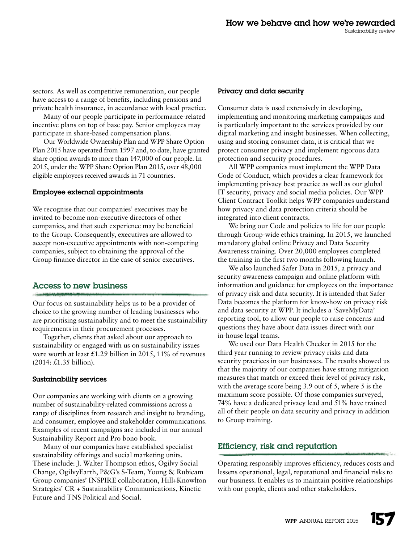sectors. As well as competitive remuneration, our people have access to a range of benefits, including pensions and private health insurance, in accordance with local practice.

Many of our people participate in performance-related incentive plans on top of base pay. Senior employees may participate in share-based compensation plans.

Our Worldwide Ownership Plan and WPP Share Option Plan 2015 have operated from 1997 and, to date, have granted share option awards to more than 147,000 of our people. In 2015, under the WPP Share Option Plan 2015, over 48,000 eligible employees received awards in 71 countries.

#### Employee external appointments

We recognise that our companies' executives may be invited to become non-executive directors of other companies, and that such experience may be beneficial to the Group. Consequently, executives are allowed to accept non-executive appointments with non-competing companies, subject to obtaining the approval of the Group finance director in the case of senior executives.

# Access to new business

Our focus on sustainability helps us to be a provider of choice to the growing number of leading businesses who are prioritising sustainability and to meet the sustainability requirements in their procurement processes.

Together, clients that asked about our approach to sustainability or engaged with us on sustainability issues were worth at least  $£1.29$  billion in 2015, 11% of revenues (2014: £1.35 billion).

#### Sustainability services

Our companies are working with clients on a growing number of sustainability-related commissions across a range of disciplines from research and insight to branding, and consumer, employee and stakeholder communications. Examples of recent campaigns are included in our annual Sustainability Report and Pro bono book.

Many of our companies have established specialist sustainability offerings and social marketing units. These include: J. Walter Thompson ethos, Ogilvy Social Change, OgilvyEarth, P&G's S-Team, Young & Rubicam Group companies' INSPIRE collaboration, Hill+Knowlton Strategies' CR + Sustainability Communications, Kinetic Future and TNS Political and Social.

## Privacy and data security

Consumer data is used extensively in developing, implementing and monitoring marketing campaigns and is particularly important to the services provided by our digital marketing and insight businesses. When collecting, using and storing consumer data, it is critical that we protect consumer privacy and implement rigorous data protection and security procedures.

All WPP companies must implement the WPP Data Code of Conduct, which provides a clear framework for implementing privacy best practice as well as our global IT security, privacy and social media policies. Our WPP Client Contract Toolkit helps WPP companies understand how privacy and data protection criteria should be integrated into client contracts.

We bring our Code and policies to life for our people through Group-wide ethics training. In 2015, we launched mandatory global online Privacy and Data Security Awareness training. Over 20,000 employees completed the training in the first two months following launch.

We also launched Safer Data in 2015, a privacy and security awareness campaign and online platform with information and guidance for employees on the importance of privacy risk and data security. It is intended that Safer Data becomes the platform for know-how on privacy risk and data security at WPP. It includes a 'SaveMyData' reporting tool, to allow our people to raise concerns and questions they have about data issues direct with our in-house legal teams.

We used our Data Health Checker in 2015 for the third year running to review privacy risks and data security practices in our businesses. The results showed us that the majority of our companies have strong mitigation measures that match or exceed their level of privacy risk, with the average score being 3.9 out of 5, where 5 is the maximum score possible. Of those companies surveyed, 74% have a dedicated privacy lead and 51% have trained all of their people on data security and privacy in addition to Group training.

# Efficiency, risk and reputation

Operating responsibly improves efficiency, reduces costs and lessens operational, legal, reputational and financial risks to our business. It enables us to maintain positive relationships with our people, clients and other stakeholders.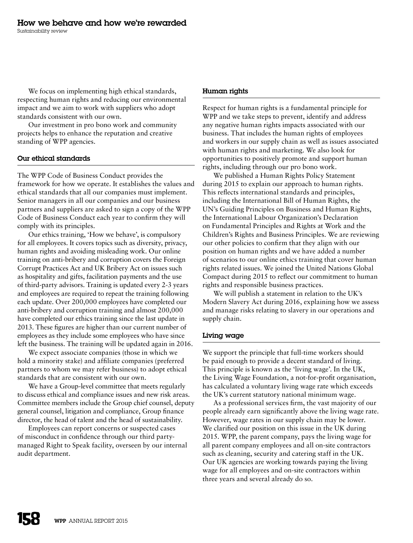We focus on implementing high ethical standards, respecting human rights and reducing our environmental impact and we aim to work with suppliers who adopt standards consistent with our own.

Our investment in pro bono work and community projects helps to enhance the reputation and creative standing of WPP agencies.

#### Our ethical standards

The WPP Code of Business Conduct provides the framework for how we operate. It establishes the values and ethical standards that all our companies must implement. Senior managers in all our companies and our business partners and suppliers are asked to sign a copy of the WPP Code of Business Conduct each year to confirm they will comply with its principles.

Our ethics training, 'How we behave', is compulsory for all employees. It covers topics such as diversity, privacy, human rights and avoiding misleading work. Our online training on anti-bribery and corruption covers the Foreign Corrupt Practices Act and UK Bribery Act on issues such as hospitality and gifts, facilitation payments and the use of third-party advisors. Training is updated every 2-3 years and employees are required to repeat the training following each update. Over 200,000 employees have completed our anti-bribery and corruption training and almost 200,000 have completed our ethics training since the last update in 2013. These figures are higher than our current number of employees as they include some employees who have since left the business. The training will be updated again in 2016.

We expect associate companies (those in which we hold a minority stake) and affiliate companies (preferred partners to whom we may refer business) to adopt ethical standards that are consistent with our own.

We have a Group-level committee that meets regularly to discuss ethical and compliance issues and new risk areas. Committee members include the Group chief counsel, deputy general counsel, litigation and compliance, Group finance director, the head of talent and the head of sustainability.

Employees can report concerns or suspected cases of misconduct in confidence through our third partymanaged Right to Speak facility, overseen by our internal audit department.

#### Human rights

Respect for human rights is a fundamental principle for WPP and we take steps to prevent, identify and address any negative human rights impacts associated with our business. That includes the human rights of employees and workers in our supply chain as well as issues associated with human rights and marketing. We also look for opportunities to positively promote and support human rights, including through our pro bono work.

We published a Human Rights Policy Statement during 2015 to explain our approach to human rights. This reflects international standards and principles, including the International Bill of Human Rights, the UN's Guiding Principles on Business and Human Rights, the International Labour Organization's Declaration on Fundamental Principles and Rights at Work and the Children's Rights and Business Principles. We are reviewing our other policies to confirm that they align with our position on human rights and we have added a number of scenarios to our online ethics training that cover human rights related issues. We joined the United Nations Global Compact during 2015 to reflect our commitment to human rights and responsible business practices.

We will publish a statement in relation to the UK's Modern Slavery Act during 2016, explaining how we assess and manage risks relating to slavery in our operations and supply chain.

#### Living wage

We support the principle that full-time workers should be paid enough to provide a decent standard of living. This principle is known as the 'living wage'. In the UK, the Living Wage Foundation, a not-for-profit organisation, has calculated a voluntary living wage rate which exceeds the UK's current statutory national minimum wage.

As a professional services firm, the vast majority of our people already earn significantly above the living wage rate. However, wage rates in our supply chain may be lower. We clarified our position on this issue in the UK during 2015. WPP, the parent company, pays the living wage for all parent company employees and all on-site contractors such as cleaning, security and catering staff in the UK. Our UK agencies are working towards paying the living wage for all employees and on-site contractors within three years and several already do so.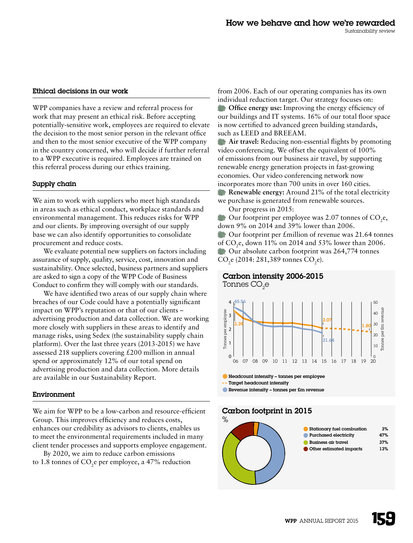#### Ethical decisions in our work

WPP companies have a review and referral process for work that may present an ethical risk. Before accepting potentially-sensitive work, employees are required to elevate the decision to the most senior person in the relevant office and then to the most senior executive of the WPP company in the country concerned, who will decide if further referral to a WPP executive is required. Employees are trained on this referral process during our ethics training.

#### Supply chain

We aim to work with suppliers who meet high standards in areas such as ethical conduct, workplace standards and environmental management. This reduces risks for WPP and our clients. By improving oversight of our supply base we can also identify opportunities to consolidate procurement and reduce costs.

We evaluate potential new suppliers on factors including assurance of supply, quality, service, cost, innovation and sustainability. Once selected, business partners and suppliers are asked to sign a copy of the WPP Code of Business Conduct to confirm they will comply with our standards.

We have identified two areas of our supply chain where breaches of our Code could have a potentially significant impact on WPP's reputation or that of our clients – advertising production and data collection. We are working more closely with suppliers in these areas to identify and manage risks, using Sedex (the sustainability supply chain platform). Over the last three years (2013-2015) we have assessed 218 suppliers covering £200 million in annual spend or approximately 12% of our total spend on advertising production and data collection. More details are available in our Sustainability Report.

#### Environment

We aim for WPP to be a low-carbon and resource-efficient Group. This improves efficiency and reduces costs, enhances our credibility as advisors to clients, enables us to meet the environmental requirements included in many client tender processes and supports employee engagement.

By 2020, we aim to reduce carbon emissions to  $1.8$  tonnes of  $CO$ , e per employee, a  $47\%$  reduction from 2006. Each of our operating companies has its own individual reduction target. Our strategy focuses on:

**Office energy use:** Improving the energy efficiency of our buildings and IT systems. 16% of our total floor space is now certified to advanced green building standards, such as LEED and BREEAM.

**Air travel:** Reducing non-essential flights by promoting video conferencing. We offset the equivalent of 100% of emissions from our business air travel, by supporting renewable energy generation projects in fast-growing economies. Our video conferencing network now incorporates more than 700 units in over 160 cities.

**Renewable energy:** Around 21% of the total electricity we purchase is generated from renewable sources.

Our progress in 2015:

Our footprint per employee was  $2.07$  tonnes of CO<sub>2</sub>e, down 9% on 2014 and 39% lower than 2006. Our footprint per £million of revenue was 21.64 tonnes of CO2e, down 11% on 2014 and 53% lower than 2006. Our absolute carbon footprint was 264,774 tonnes CO<sub>2</sub>e (2014: 281,389 tonnes CO<sub>2</sub>e).





 $\bullet$  Headcount intensity – tonnes per employee Target headcount intensity

#### Carbon footprint in 2015

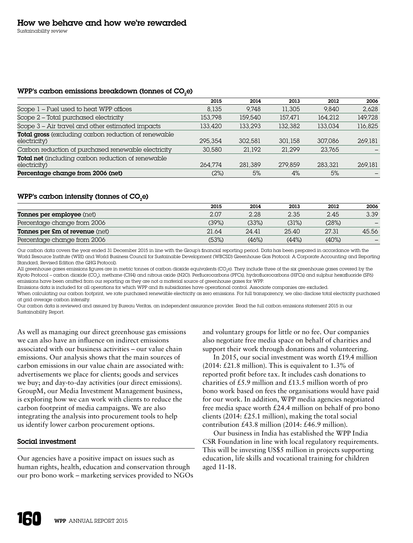#### WPP's carbon emissions breakdown (tonnes of  $CO<sub>2</sub>e$ )

|                                                                           | 2015    | 2014    | 2013    | 2012    | 2006    |
|---------------------------------------------------------------------------|---------|---------|---------|---------|---------|
| Scope 1 – Fuel used to heat WPP offices                                   | 8.135   | 9.748   | 11,305  | 9.840   | 2.628   |
| Scope 2 - Total purchased electricity                                     | 153.798 | 159,540 | 157.471 | 164.212 | 149.728 |
| Scope 3 - Air travel and other estimated impacts                          | 133,420 | 133.293 | 132.382 | 133.034 | 116,825 |
| Total gross (excluding carbon reduction of renewable<br>electricity)      | 295.354 | 302.581 | 301.158 | 307,086 | 269.181 |
| Carbon reduction of purchased renewable electricity                       | 30,580  | 21.192  | 21.299  | 23.765  |         |
| <b>Total net</b> (including carbon reduction of renewable<br>electricity) | 264.774 | 281.389 | 279.859 | 283.321 | 269.181 |
| Percentage change from 2006 (net)                                         | (2%)    | 5%      | 4%      | 5%      |         |

#### WPP's carbon intensity (tonnes of  $CO<sub>2</sub>e$ )

|                                       | 2015  | 2014  | 2013  | 2012  | 2006  |
|---------------------------------------|-------|-------|-------|-------|-------|
| Tonnes per employee (net)             | 2.07  | 2.28  | 2.35  | 2.45  | 3.39  |
| Percentage change from 2006           | (39%) | (33%) | (31%) | (28%) |       |
| <b>Tonnes per £m of revenue</b> (net) | 21.64 | 24.41 | 25.40 | 27.31 | 45.56 |
| Percentage change from 2006           | (53%) | (46%) | (44%) | (40%) |       |

Our carbon data covers the year ended 31 December 2015 in line with the Group's financial reporting period. Data has been prepared in accordance with the World Resource Institute (WRI) and World Business Council for Sustainable Development (WBCSD) Greenhouse Gas Protocol: A Corporate Accounting and Reporting Standard, Revised Edition (the GHG Protocol).

All greenhouse gases emissions figures are in metric tonnes of carbon dioxide equivalents (CO<sub>2</sub>e). They include three of the six greenhouse gases covered by the Kyoto Protocol – carbon dioxide (CO<sub>2</sub>), methane (CH4) and nitrous oxide (N2O). Perfluorocarbons (PFCs), hydrofluorocarbons (HFCs) and sulphur hexafluoride (SF6) emissions have been omitted from our reporting as they are not a material source of greenhouse gases for WPP.

Emissions data is included for all operations for which WPP and its subsidiaries have operational control. Associate companies are excluded.

When calculating our carbon footprint, we rate purchased renewable electricity as zero emissions. For full transparency, we also disclose total electricity purchased at grid average carbon intensity.

Our carbon data is reviewed and assured by Bureau Veritas, an independent assurance provider. Read the full carbon emissions statement 2015 in our Sustainability Report.

As well as managing our direct greenhouse gas emissions we can also have an influence on indirect emissions associated with our business activities – our value chain emissions. Our analysis shows that the main sources of carbon emissions in our value chain are associated with: advertisements we place for clients; goods and services we buy; and day-to-day activities (our direct emissions). GroupM, our Media Investment Management business, is exploring how we can work with clients to reduce the carbon footprint of media campaigns. We are also integrating the analysis into procurement tools to help us identify lower carbon procurement options.

# Social investment

Our agencies have a positive impact on issues such as human rights, health, education and conservation through our pro bono work – marketing services provided to NGOs and voluntary groups for little or no fee. Our companies also negotiate free media space on behalf of charities and support their work through donations and volunteering.

In 2015, our social investment was worth £19.4 million  $(2014; \text{\textsterling}21.8 \text{ million})$ . This is equivalent to 1.3% of reported profit before tax. It includes cash donations to charities of £5.9 million and £13.5 million worth of pro bono work based on fees the organisations would have paid for our work. In addition, WPP media agencies negotiated free media space worth £24.4 million on behalf of pro bono clients (2014: £25.1 million), making the total social contribution  $£43.8$  million (2014:  $£46.9$  million).

Our business in India has established the WPP India CSR Foundation in line with local regulatory requirements. This will be investing US\$5 million in projects supporting education, life skills and vocational training for children aged 11-18.